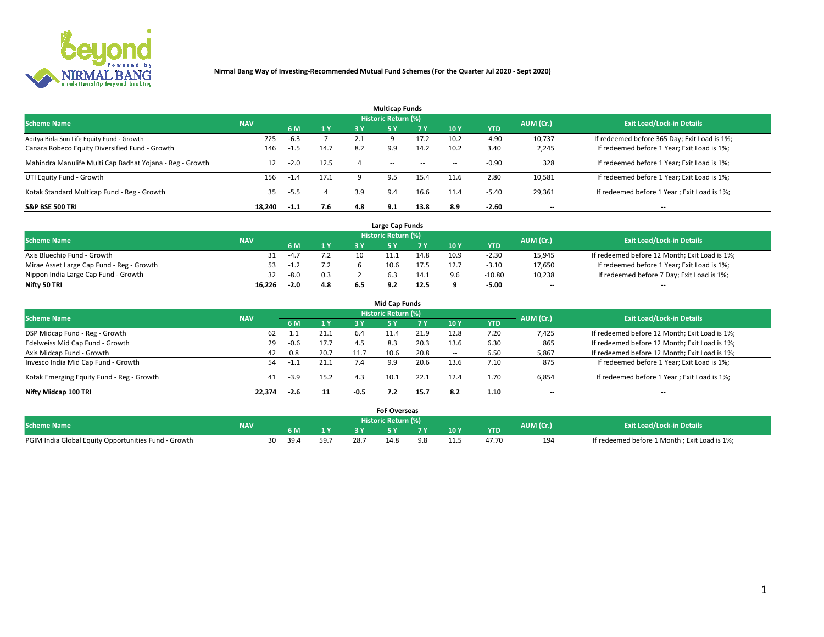

|                                                          |            |        |      |     | <b>Multicap Funds</b> |           |                          |            |           |                                              |
|----------------------------------------------------------|------------|--------|------|-----|-----------------------|-----------|--------------------------|------------|-----------|----------------------------------------------|
| <b>Scheme Name</b>                                       | <b>NAV</b> |        |      |     | Historic Return (%)   |           |                          |            | AUM (Cr.) | <b>Exit Load/Lock-in Details</b>             |
|                                                          |            | 6 M    | 1 Y  | 3 Y | <b>5Y</b>             | <b>7Y</b> | 10Y                      | <b>YTD</b> |           |                                              |
| Aditya Birla Sun Life Equity Fund - Growth               | 725        | $-6.3$ |      |     |                       |           | 10.2                     | $-4.90$    | 10,737    | If redeemed before 365 Day; Exit Load is 1%; |
| Canara Robeco Equity Diversified Fund - Growth           | 146        | -1.5   | 14.7 | 8.2 | 9.9                   | 14.2      | 10.2                     | 3.40       | 2,245     | If redeemed before 1 Year; Exit Load is 1%;  |
| Mahindra Manulife Multi Cap Badhat Yojana - Reg - Growth | 12         | $-2.0$ | 12.5 |     | $\sim$                | $\sim$    | $\overline{\phantom{a}}$ | $-0.90$    | 328       | If redeemed before 1 Year; Exit Load is 1%;  |
| UTI Equity Fund - Growth                                 | 156        | $-1.4$ | 17.1 |     | 9.5                   | 15.4      | 11.6                     | 2.80       | 10,581    | If redeemed before 1 Year; Exit Load is 1%;  |
| Kotak Standard Multicap Fund - Reg - Growth              | 35         | -5.5   |      | 3.9 | 9.4                   | 16.6      | 11.4                     | $-5.40$    | 29,361    | If redeemed before 1 Year; Exit Load is 1%;  |
| <b>S&amp;P BSE 500 TRI</b>                               | 18.240     | $-1.1$ | 7.6  | 4.8 | 9.1                   | 13.8      | 8.9                      | $-2.60$    | --        | $- -$                                        |

|                                           |            |        |       |    | Large Cap Funds     |      |      |            |                          |                                               |
|-------------------------------------------|------------|--------|-------|----|---------------------|------|------|------------|--------------------------|-----------------------------------------------|
| <b>Scheme Name</b>                        | <b>NAV</b> |        |       |    | Historic Return (%) |      |      |            | AUM (Cr.)                | <b>Exit Load/Lock-in Details</b>              |
|                                           |            |        | $-1V$ |    |                     | 7 V  | 10 Y | <b>YTD</b> |                          |                                               |
| Axis Bluechip Fund - Growth               |            | $-4.7$ |       | 10 |                     | 14.8 | 10.9 | $-2.3C$    | 15,945                   | If redeemed before 12 Month; Exit Load is 1%; |
| Mirae Asset Large Cap Fund - Reg - Growth | 53.        | ے …1−  |       |    | 10.6                | 17.5 |      | $-3.10$    | 17,650                   | If redeemed before 1 Year; Exit Load is 1%;   |
| Nippon India Large Cap Fund - Growth      |            | $-8.0$ |       |    |                     | 14.1 |      | $-10.80$   | 10,238                   | If redeemed before 7 Day; Exit Load is 1%;    |
| Nifty 50 TRI                              | 16,226     | -2.0   | 4.8   |    |                     | 12.5 |      | -5.00      | $\overline{\phantom{a}}$ | $\overline{\phantom{a}}$                      |

| <b>Mid Cap Funds</b>                      |            |        |      |        |                            |      |            |            |                          |                                               |  |  |  |
|-------------------------------------------|------------|--------|------|--------|----------------------------|------|------------|------------|--------------------------|-----------------------------------------------|--|--|--|
| <b>Scheme Name</b>                        | <b>NAV</b> |        |      |        | <b>Historic Return (%)</b> |      |            |            | AUM (Cr.)                | <b>Exit Load/Lock-in Details</b>              |  |  |  |
|                                           |            | 6 M    | 1 Y  | 3 Y    |                            | 7 V  | <b>10Y</b> | <b>YTD</b> |                          |                                               |  |  |  |
| DSP Midcap Fund - Reg - Growth            | 62         | 1.1    | 21.1 | 6.4    | 11.4                       | 21.9 | 12.8       | 7.20       | 7,425                    | If redeemed before 12 Month; Exit Load is 1%; |  |  |  |
| Edelweiss Mid Cap Fund - Growth           | 29         | $-0.6$ | 17.7 | 4.5    | 8.3                        | 20.3 | 13.6       | 6.30       | 865                      | If redeemed before 12 Month; Exit Load is 1%; |  |  |  |
| Axis Midcap Fund - Growth                 | 42         | 0.8    | 20.7 | 11.7   | 10.6                       | 20.8 |            | 6.50       | 5,867                    | If redeemed before 12 Month; Exit Load is 1%; |  |  |  |
| Invesco India Mid Cap Fund - Growth       | 54         | -1.1   | 21.1 | 7.4    | 9.9                        | 20.6 | 13.6       | 7.10       | 875                      | If redeemed before 1 Year; Exit Load is 1%;   |  |  |  |
| Kotak Emerging Equity Fund - Reg - Growth | 41         | $-3.9$ | 15.2 | 4.3    | 10.1                       | 22.1 | 12.4       | 1.70       | 6,854                    | If redeemed before 1 Year; Exit Load is 1%;   |  |  |  |
| Nifty Midcap 100 TRI                      | 22.374     | $-2.6$ | 11   | $-0.5$ |                            | 15.7 | 8.2        | 1.10       | $\overline{\phantom{a}}$ | $\overline{\phantom{a}}$                      |  |  |  |

|                                                      |            |            |     |     | <b>FoF Overseas</b>        |     |            |           |                                              |
|------------------------------------------------------|------------|------------|-----|-----|----------------------------|-----|------------|-----------|----------------------------------------------|
| <b>Scheme Name</b>                                   | <b>NAV</b> |            |     |     | <b>Historic Return (%)</b> |     |            | AUM (Cr.) | <b>Exit Load/Lock-in Details</b>             |
|                                                      |            | 6 M        |     |     |                            | 10Y | <b>YTD</b> |           |                                              |
| PGIM India Global Equity Opportunities Fund - Growth |            | 39.4<br>30 | 59. | 28. | 4.8                        |     | 47.70      | 194       | If redeemed before 1 Month; Exit Load is 1%; |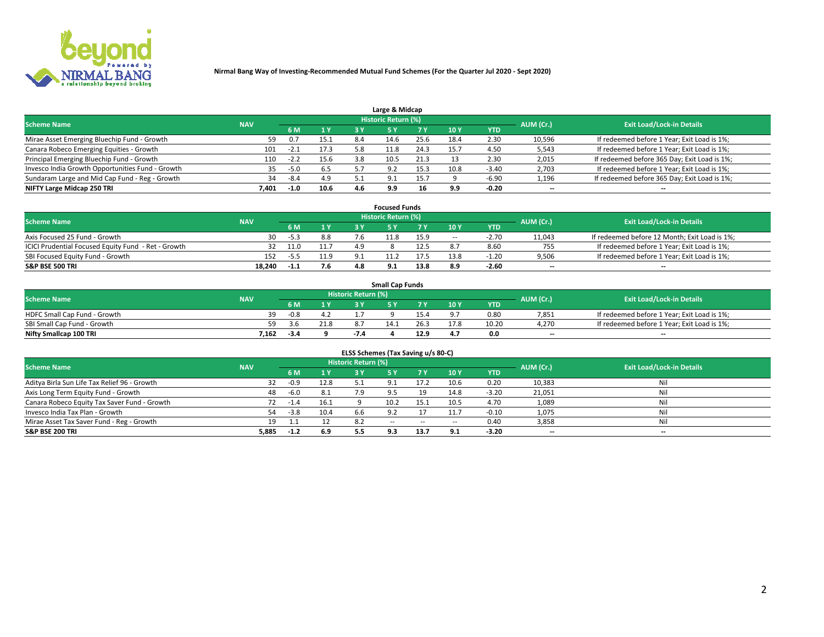

| Large & Midcap                                   |            |        |      |     |                            |      |      |         |                          |                                              |  |  |  |
|--------------------------------------------------|------------|--------|------|-----|----------------------------|------|------|---------|--------------------------|----------------------------------------------|--|--|--|
| <b>Scheme Name</b>                               | <b>NAV</b> |        |      |     | <b>Historic Return (%)</b> |      |      |         | AUM (Cr.)                | <b>Exit Load/Lock-in Details</b>             |  |  |  |
|                                                  |            | 6 M    | 1Y   | 3 Y |                            | 7 V  | 10Y  | YTD     |                          |                                              |  |  |  |
| Mirae Asset Emerging Bluechip Fund - Growth      | 59         |        | 15.1 | 8.4 | 14.6                       | 25.6 | 18.4 | 2.30    | 10,596                   | If redeemed before 1 Year; Exit Load is 1%;  |  |  |  |
| Canara Robeco Emerging Equities - Growth         | 101        | $-2.1$ | 17.3 |     | 11.8                       | 24.3 | 15.  | 4.50    | 5,543                    | If redeemed before 1 Year; Exit Load is 1%;  |  |  |  |
| Principal Emerging Bluechip Fund - Growth        | 110        | $-2.2$ | 15.6 | 3.8 | 10.5                       | 21.3 |      | 2.30    | 2,015                    | If redeemed before 365 Day; Exit Load is 1%; |  |  |  |
| Invesco India Growth Opportunities Fund - Growth | 35         | $-5.0$ | 6.5  |     | <u>ດ າ</u>                 |      | 10.8 | $-3.40$ | 2,703                    | If redeemed before 1 Year; Exit Load is 1%;  |  |  |  |
| Sundaram Large and Mid Cap Fund - Reg - Growth   | 34         | -8.4   | 4.9  |     | $\Omega$                   | 15.7 |      | $-6.90$ | 1,196                    | If redeemed before 365 Day; Exit Load is 1%; |  |  |  |
| NIFTY Large Midcap 250 TRI                       | 7.401      | $-1.0$ | 10.6 | 4.6 | 9.9                        | 16   | 9.9  | $-0.20$ | $\overline{\phantom{a}}$ | $- -$                                        |  |  |  |

|                                                     |            |        |      |         | <b>Focused Funds</b>       |      |        |            |                          |                                               |
|-----------------------------------------------------|------------|--------|------|---------|----------------------------|------|--------|------------|--------------------------|-----------------------------------------------|
| <b>Scheme Name</b>                                  | <b>NAV</b> |        |      |         | <b>Historic Return (%)</b> |      |        |            | AUM (Cr.)                | <b>Exit Load/Lock-in Details</b>              |
|                                                     |            | 6 M    | 1 Y  |         |                            |      | 10 Y   | <b>YTD</b> |                          |                                               |
| Axis Focused 25 Fund - Growth                       | 30         | $-5.3$ | 8.8  |         | 11.8                       | 15.9 | $\sim$ | $-2.70$    | 11,043                   | If redeemed before 12 Month; Exit Load is 1%; |
| ICICI Prudential Focused Equity Fund - Ret - Growth |            | 11.0   | 11.7 |         |                            | 12.5 |        | 8.60       | 755                      | If redeemed before 1 Year; Exit Load is 1%;   |
| SBI Focused Equity Fund - Growth                    | 152        | -55    |      | $\circ$ |                            | 17.5 | 13.8   | $-1.20$    | 9,506                    | If redeemed before 1 Year; Exit Load is 1%;   |
| <b>S&amp;P BSE 500 TRI</b>                          | 18.240     | -1.1   | 7.6  | 4.8     | 9.1                        | 13.8 | 8.9    | $-2.60$    | $\overline{\phantom{a}}$ | $\hspace{0.05cm} \cdots$                      |

| <b>Small Cap Funds</b>       |            |      |      |                     |      |           |                                  |            |       |                                             |  |  |
|------------------------------|------------|------|------|---------------------|------|-----------|----------------------------------|------------|-------|---------------------------------------------|--|--|
| <b>Scheme Name</b>           | <b>NAV</b> |      |      | Historic Return (%) |      | AUM (Cr.) | <b>Exit Load/Lock-in Details</b> |            |       |                                             |  |  |
|                              |            | 6 M  | 1 Y  |                     |      |           | $-10Y$                           | <b>YTD</b> |       |                                             |  |  |
| HDFC Small Cap Fund - Growth | 39         | -0.8 |      |                     |      |           |                                  | 0.80       | 7,851 | If redeemed before 1 Year; Exit Load is 1%; |  |  |
| SBI Small Cap Fund - Growth  |            |      | 21.8 |                     | 14.1 |           | 17.8                             | 10.20      | 4.270 | If redeemed before 1 Year; Exit Load is 1%; |  |  |
| Nifty Smallcap 100 TRI       | 7.162      | -3.4 |      | -7.4                |      | 12.9      |                                  | 0.0        | $- -$ | $- -$                                       |  |  |

| ELSS Schemes (Tax Saving u/s 80-C)           |            |        |      |                            |           |        |                          |            |                          |                                  |  |  |  |
|----------------------------------------------|------------|--------|------|----------------------------|-----------|--------|--------------------------|------------|--------------------------|----------------------------------|--|--|--|
| <b>Scheme Name</b>                           | <b>NAV</b> |        |      | <b>Historic Return (%)</b> |           |        |                          |            | AUM (Cr.)                | <b>Exit Load/Lock-in Details</b> |  |  |  |
|                                              |            | - 6 M  | 1Y   | 3 Y                        | <b>5Y</b> | 7 Y    | 10 Y                     | <b>YTD</b> |                          |                                  |  |  |  |
| Aditya Birla Sun Life Tax Relief 96 - Growth | 32         | $-0.9$ | 12.8 |                            |           |        | 10.6                     | 0.20       | 10,383                   | Nil                              |  |  |  |
| Axis Long Term Equity Fund - Growth          | 48         | $-6.0$ | 8.1  | 7.9                        | 9.5       | 19     | 14.8                     | $-3.20$    | 21,051                   | Nil                              |  |  |  |
| Canara Robeco Equity Tax Saver Fund - Growth | 72         | $-1.4$ | 16.1 |                            | 10.2      | 15.1   | 10.5                     | 4.70       | 1,089                    | Nil                              |  |  |  |
| Invesco India Tax Plan - Growth              | 54         | $-3.8$ | 10.4 | 6.6                        |           |        | 11.7                     | $-0.10$    | 1,075                    | Nil                              |  |  |  |
| Mirae Asset Tax Saver Fund - Reg - Growth    | 19         |        |      | 8.2                        | $- -$     | $\sim$ | $\overline{\phantom{a}}$ | 0.40       | 3,858                    | Nil                              |  |  |  |
| S&P BSE 200 TRI                              | 5,885      | $-1.2$ | 6.9  | 5.5                        | 9.3       | 13.7   | 9.1                      | $-3.20$    | $\overline{\phantom{a}}$ | $- -$                            |  |  |  |

# 2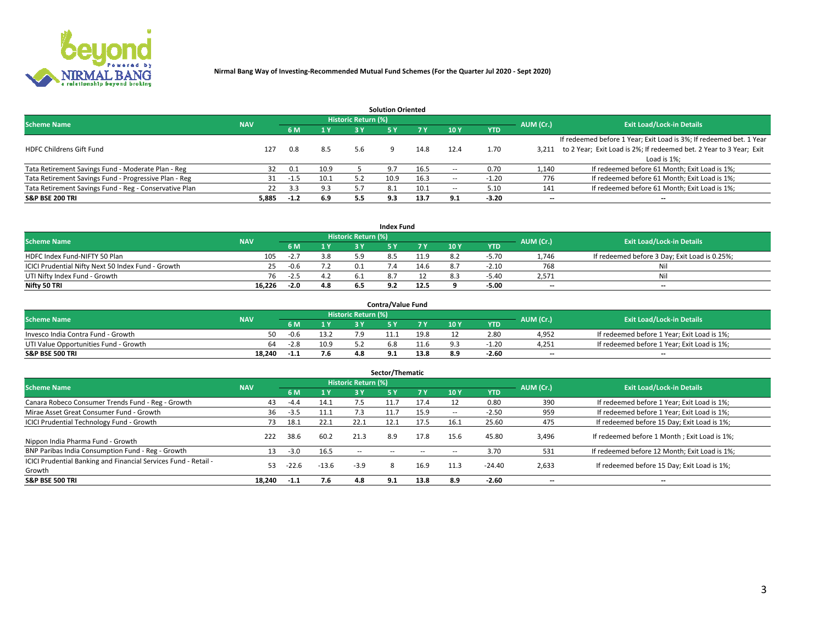

|                                                        |            |            |      |                            | <b>Solution Oriented</b> |      |                          |            |                          |                                                                     |
|--------------------------------------------------------|------------|------------|------|----------------------------|--------------------------|------|--------------------------|------------|--------------------------|---------------------------------------------------------------------|
| <b>Scheme Name</b>                                     | <b>NAV</b> |            |      | <b>Historic Return (%)</b> |                          |      |                          |            | AUM (Cr.)                | <b>Exit Load/Lock-in Details</b>                                    |
|                                                        |            | <b>6 M</b> | 1 Y  | 3 Y                        |                          |      | 10Y                      | <b>YTD</b> |                          |                                                                     |
|                                                        |            |            |      |                            |                          |      |                          |            |                          | If redeemed before 1 Year; Exit Load is 3%; If redeemed bet. 1 Year |
| <b>HDFC Childrens Gift Fund</b>                        | 127        | 0.8        | 8.5  | 5.6                        |                          | 14.8 | 12.4                     | 1.70       | 3.211                    | to 2 Year; Exit Load is 2%; If redeemed bet. 2 Year to 3 Year; Exit |
|                                                        |            |            |      |                            |                          |      |                          |            |                          | Load is 1%;                                                         |
| Tata Retirement Savings Fund - Moderate Plan - Reg     | 32         | 0.1        | 10.9 |                            | 9.7                      | 16.5 | --                       | 0.70       | 1,140                    | If redeemed before 61 Month; Exit Load is 1%;                       |
| Tata Retirement Savings Fund - Progressive Plan - Reg  | 31         | -1.5       | 10.1 | 5.2                        | 10.9                     | 16.3 | $\overline{\phantom{a}}$ | $-1.20$    | 776                      | If redeemed before 61 Month; Exit Load is 1%;                       |
| Tata Retirement Savings Fund - Reg - Conservative Plan | 22         | 3.3        | 9.3  |                            | 8.1                      | 10.1 | --                       | 5.10       | 141                      | If redeemed before 61 Month; Exit Load is 1%;                       |
| S&P BSE 200 TRI                                        | 5,885      | $-1.2$     | 6.9  | 5.5                        | 9.3                      | 13.7 | 9.1                      | $-3.20$    | $\overline{\phantom{a}}$ | $- -$                                                               |

|                                                    |            |        |                              |                            | <b>Index Fund</b> |      |      |            |                          |                                               |
|----------------------------------------------------|------------|--------|------------------------------|----------------------------|-------------------|------|------|------------|--------------------------|-----------------------------------------------|
| <b>Scheme Name</b>                                 | <b>NAV</b> |        |                              | <b>Historic Return (%)</b> |                   |      |      |            | AUM (Cr.)                | <b>Exit Load/Lock-in Details</b>              |
|                                                    |            |        | $\triangleq$ $\triangledown$ | 2 V                        |                   | 7 V  | 10 Y | <b>YTD</b> |                          |                                               |
| HDFC Index Fund-NIFTY 50 Plan                      | 105        | $-L.1$ | 3.8                          |                            |                   | 11.9 |      | $-5.70$    | 1.746                    | If redeemed before 3 Day; Exit Load is 0.25%; |
| ICICI Prudential Nifty Next 50 Index Fund - Growth |            | -0.6   |                              |                            |                   | 14.6 |      | $-2.10$    | 768                      | Nil                                           |
| UTI Nifty Index Fund - Growth                      | 76         | $-2.5$ |                              |                            |                   |      |      | $-5.40$    | 2,571                    | Nil                                           |
| Nifty 50 TRI                                       | 16.226     | $-2.0$ | 4.8                          |                            |                   | 12.5 |      | $-5.00$    | $\overline{\phantom{a}}$ | $- -$                                         |

|                                       |            |        |                                   |                            | <b>Contra/Value Fund</b> |      |     |            |                          |                                             |
|---------------------------------------|------------|--------|-----------------------------------|----------------------------|--------------------------|------|-----|------------|--------------------------|---------------------------------------------|
| <b>Scheme Name</b>                    | <b>NAV</b> |        |                                   | <b>Historic Return (%)</b> |                          |      |     |            | AUM (Cr.)                | <b>Exit Load/Lock-in Details</b>            |
|                                       |            |        | $\boldsymbol{A}$ $\boldsymbol{V}$ |                            |                          | 7 V  | 10Y | <b>YTD</b> |                          |                                             |
| Invesco India Contra Fund - Growth    | 50.        | $-0.6$ | 13.2                              |                            |                          | 19.8 |     | 2.80       | 4,952                    | If redeemed before 1 Year; Exit Load is 1%; |
| UTI Value Opportunities Fund - Growth | 64         | $-2.8$ | 10.9                              |                            |                          |      |     | -1.20      | 4,251                    | If redeemed before 1 Year; Exit Load is 1%; |
| <b>S&amp;P BSE 500 TRI</b>            | 18.240     |        | 7.6                               |                            |                          | 13.8 |     | $-2.60$    | $\overline{\phantom{a}}$ | $- -$                                       |

| Sector/Thematic                                                           |            |         |         |                     |            |           |                          |            |           |                                               |  |  |  |
|---------------------------------------------------------------------------|------------|---------|---------|---------------------|------------|-----------|--------------------------|------------|-----------|-----------------------------------------------|--|--|--|
| <b>Scheme Name</b>                                                        | <b>NAV</b> |         |         | Historic Return (%) |            |           |                          |            | AUM (Cr.) | <b>Exit Load/Lock-in Details</b>              |  |  |  |
|                                                                           |            | 6 M     | 1Y      | 3 Y                 | <b>5Y</b>  | <b>7Y</b> | 10Y                      | <b>YTD</b> |           |                                               |  |  |  |
| Canara Robeco Consumer Trends Fund - Reg - Growth                         | 43         | $-4.4$  | 14.1    | 7.5                 | 11.7       | 17.4      |                          | 0.80       | 390       | If redeemed before 1 Year; Exit Load is 1%;   |  |  |  |
| Mirae Asset Great Consumer Fund - Growth                                  | 36         | $-3.5$  |         | 7.3                 | 11.7       | 15.9      | $\overline{\phantom{a}}$ | $-2.50$    | 959       | If redeemed before 1 Year; Exit Load is 1%;   |  |  |  |
| <b>ICICI Prudential Technology Fund - Growth</b>                          | 73.        | 18.1    | 22.1    | 22.1                | 12.1       | 17.5      | 16.1                     | 25.60      | 475       | If redeemed before 15 Day; Exit Load is 1%;   |  |  |  |
| Nippon India Pharma Fund - Growth                                         | 222        | 38.6    | 60.2    | 21.3                | 8.9        | 17.8      | 15.6                     | 45.80      | 3,496     | If redeemed before 1 Month; Exit Load is 1%;  |  |  |  |
| BNP Paribas India Consumption Fund - Reg - Growth                         | 13         | $-3.0$  | 16.5    | $\sim$ $\sim$       | $\sim$ $-$ | $\sim$    | $\overline{\phantom{a}}$ | 3.70       | 531       | If redeemed before 12 Month; Exit Load is 1%; |  |  |  |
| ICICI Prudential Banking and Financial Services Fund - Retail -<br>Growth | 53         | $-22.6$ | $-13.6$ | $-3.9$              | 8          | 16.9      | 11.3                     | $-24.40$   | 2,633     | If redeemed before 15 Day; Exit Load is 1%;   |  |  |  |
| <b>S&amp;P BSE 500 TRI</b>                                                | 18.240     | $-1.1$  | 7.6     | 4.8                 | 9.1        | 13.8      | 8.9                      | $-2.60$    | --        | $- -$                                         |  |  |  |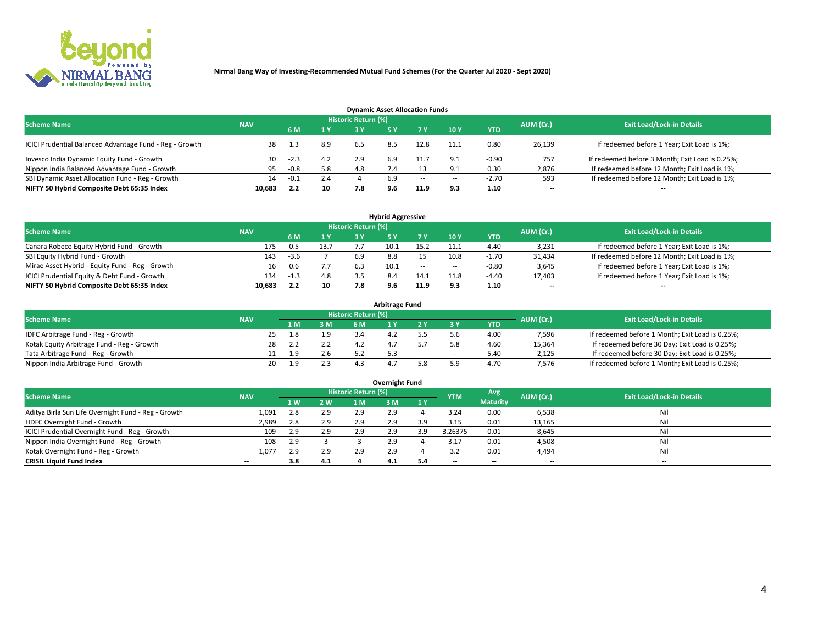

| <b>Dynamic Asset Allocation Funds</b>                   |            |        |                |                     |     |        |                |            |                          |                                                 |  |  |  |  |
|---------------------------------------------------------|------------|--------|----------------|---------------------|-----|--------|----------------|------------|--------------------------|-------------------------------------------------|--|--|--|--|
| <b>Scheme Name</b>                                      | <b>NAV</b> |        |                | Historic Return (%) |     |        |                |            | AUM (Cr.)                | <b>Exit Load/Lock-in Details</b>                |  |  |  |  |
|                                                         |            | 6 M    | 1 <sup>Y</sup> |                     |     |        | <b>10Y</b>     | <b>YTD</b> |                          |                                                 |  |  |  |  |
| ICICI Prudential Balanced Advantage Fund - Reg - Growth |            | 1.3    | 8.9            | 6.5                 | 8.5 | 12.8   | 11.1           | 0.80       | 26,139                   | If redeemed before 1 Year; Exit Load is 1%;     |  |  |  |  |
| Invesco India Dynamic Equity Fund - Growth              | 30         | -2.3   | 4.2            | 2.9                 | 6.9 |        | Q <sub>1</sub> | $-0.90$    | 757                      | If redeemed before 3 Month; Exit Load is 0.25%; |  |  |  |  |
| Nippon India Balanced Advantage Fund - Growth           | 95         | $-0.8$ | 5.8            | 4.8                 | 7.4 |        | o.             | 0.30       | 2,876                    | If redeemed before 12 Month; Exit Load is 1%;   |  |  |  |  |
| SBI Dynamic Asset Allocation Fund - Reg - Growth        | 14         | $-0.1$ | 2.4            |                     | 6.9 | $\sim$ | $\sim$         | $-2.70$    | 593                      | If redeemed before 12 Month; Exit Load is 1%;   |  |  |  |  |
| NIFTY 50 Hybrid Composite Debt 65:35 Index              | 10,683     | 2.2    | 10             | 7.8                 | 9.6 | 11.9   | 9.3            | 1.10       | $\overline{\phantom{a}}$ | $- -$                                           |  |  |  |  |

| <b>Hybrid Aggressive</b>                        |            |        |      |                            |      |        |      |            |                          |                                               |  |  |  |  |
|-------------------------------------------------|------------|--------|------|----------------------------|------|--------|------|------------|--------------------------|-----------------------------------------------|--|--|--|--|
| <b>Scheme Name</b>                              | <b>NAV</b> |        |      | <b>Historic Return (%)</b> |      |        |      |            | AUM (Cr.)                | <b>Exit Load/Lock-in Details</b>              |  |  |  |  |
|                                                 |            | 6 M    | 1 Y  | 3 ۷                        |      | 7 V    | 10Y  | <b>YTD</b> |                          |                                               |  |  |  |  |
| Canara Robeco Equity Hybrid Fund - Growth       | 175        | $.5\,$ | 13.7 |                            |      | 15 C   |      | 4.40       | 3,231                    | If redeemed before 1 Year; Exit Load is 1%;   |  |  |  |  |
| SBI Equity Hybrid Fund - Growth                 | 143        | -3.6   |      | 6.9                        | 8.8  |        | 10.8 | $-1.70$    | 31,434                   | If redeemed before 12 Month; Exit Load is 1%; |  |  |  |  |
| Mirae Asset Hybrid - Equity Fund - Reg - Growth | 16         | 0.6    |      | -6.3                       | 10.1 | $\sim$ | --   | $-0.80$    | 3,645                    | If redeemed before 1 Year; Exit Load is 1%;   |  |  |  |  |
| ICICI Prudential Equity & Debt Fund - Growth    | 134        | $-1.3$ | 4.8  |                            |      | 14.1   |      | $-4.40$    | 17,403                   | If redeemed before 1 Year; Exit Load is 1%;   |  |  |  |  |
| NIFTY 50 Hybrid Composite Debt 65:35 Index      | 10.683     | 2.2    | 10   |                            | 9.6  | 11.9   |      | 1.10       | $\overline{\phantom{a}}$ | $- -$                                         |  |  |  |  |

| Arbitrage Fund                             |            |              |     |                     |  |    |     |            |           |                                                 |  |  |  |  |
|--------------------------------------------|------------|--------------|-----|---------------------|--|----|-----|------------|-----------|-------------------------------------------------|--|--|--|--|
| <b>Scheme Name</b>                         | <b>NAV</b> |              |     | Historic Return (%) |  |    |     |            | AUM (Cr.) | <b>Exit Load/Lock-in Details</b>                |  |  |  |  |
|                                            |            | 1 M.         | 3 M | 6 M                 |  |    |     | <b>YTD</b> |           |                                                 |  |  |  |  |
| IDFC Arbitrage Fund - Reg - Growth         |            | l.8          |     |                     |  |    |     | 4.00       | 7,596     | If redeemed before 1 Month; Exit Load is 0.25%; |  |  |  |  |
| Kotak Equity Arbitrage Fund - Reg - Growth |            |              |     |                     |  |    |     | 4.60       | 15,364    | If redeemed before 30 Day; Exit Load is 0.25%;  |  |  |  |  |
| Tata Arbitrage Fund - Reg - Growth         |            | q            |     |                     |  | -- | $-$ | 5.40       | 2,125     | If redeemed before 30 Day; Exit Load is 0.25%;  |  |  |  |  |
| Nippon India Arbitrage Fund - Growth       | 20         | $\mathbf{q}$ |     |                     |  |    |     | 4.70       | 7,576     | If redeemed before 1 Month; Exit Load is 0.25%; |  |  |  |  |

| Overnight Fund                                      |            |     |     |                     |     |     |            |                 |           |                                  |  |  |  |  |
|-----------------------------------------------------|------------|-----|-----|---------------------|-----|-----|------------|-----------------|-----------|----------------------------------|--|--|--|--|
| <b>Scheme Name</b>                                  | <b>NAV</b> |     |     | Historic Return (%) |     |     | <b>YTM</b> | Avg             | AUM (Cr.) | <b>Exit Load/Lock-in Details</b> |  |  |  |  |
|                                                     |            | 1 W | 2 W | 1 M.                | 3 M | 1Y  |            | <b>Maturity</b> |           |                                  |  |  |  |  |
| Aditya Birla Sun Life Overnight Fund - Reg - Growth | 1,091      | 2.8 | 2.9 | 2.9                 | 2.9 |     | 3.24       | 0.00            | 6,538     | Nil                              |  |  |  |  |
| HDFC Overnight Fund - Growth                        | 2,989      |     | 2.9 | 2.9                 | 2.9 |     | 3.15       | 0.01            | 13,165    | Nil                              |  |  |  |  |
| ICICI Prudential Overnight Fund - Reg - Growth      | 109        | 2.9 | 2.9 | 2.9                 | 2.9 |     | 3.26375    | 0.01            | 8,645     | Nil                              |  |  |  |  |
| Nippon India Overnight Fund - Reg - Growth          | 108        | 2.9 |     |                     | 2.9 |     | 3.17       | 0.01            | 4,508     | Nil                              |  |  |  |  |
| Kotak Overnight Fund - Reg - Growth                 | 1.077      | 2.9 | 2.9 | 2.9                 | 2.9 |     |            | 0.01            | 4,494     | Nil                              |  |  |  |  |
| <b>CRISIL Liquid Fund Index</b>                     | $- -$      | 3.8 | 4.1 |                     | 4.1 | 5.4 | --         | $- -$           | $- -$     | --                               |  |  |  |  |

#### **Overnight Fund**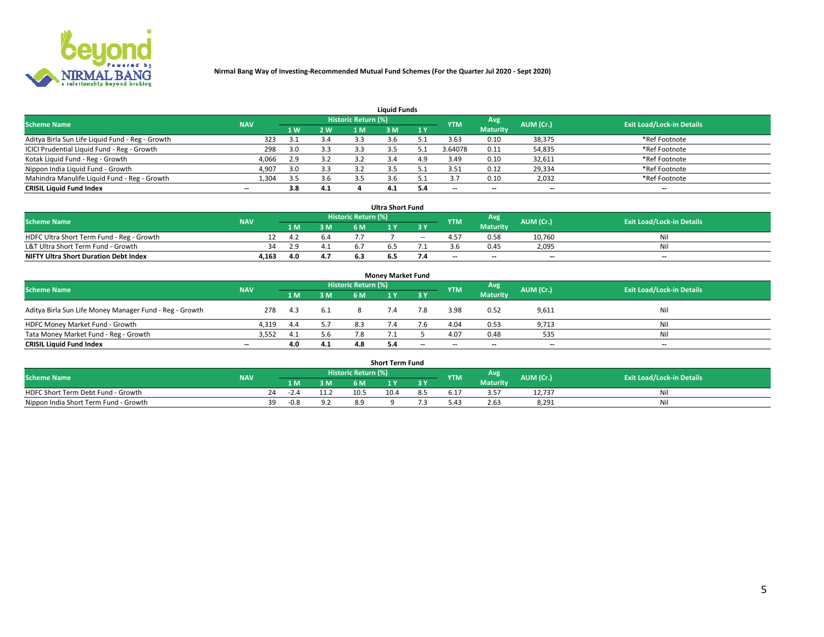

|                                                  |            |     |     |                     | <b>Liquid Funds</b> |     |            |                 |           |                                  |
|--------------------------------------------------|------------|-----|-----|---------------------|---------------------|-----|------------|-----------------|-----------|----------------------------------|
| <b>Scheme Name</b>                               | <b>NAV</b> |     |     | Historic Return (%) |                     |     | <b>YTM</b> | Avg             | AUM (Cr.) | <b>Exit Load/Lock-in Details</b> |
|                                                  |            | 4W  | 2 W | 1 M                 | M                   | 1 Y |            | <b>Maturity</b> |           |                                  |
| Aditya Birla Sun Life Liquid Fund - Reg - Growth | 323        |     | 3.4 | 3.3                 |                     |     | 3.63       | 0.10            | 38,375    | *Ref Footnote                    |
| ICICI Prudential Liquid Fund - Reg - Growth      | 298        | 3.0 | 3.3 | 3.3                 |                     |     | 3.64078    | 0.11            | 54,835    | *Ref Footnote                    |
| Kotak Liquid Fund - Reg - Growth                 | 4,066      | 2.9 | 3.2 |                     |                     | 4.9 | 3.49       | 0.10            | 32,611    | *Ref Footnote                    |
| Nippon India Liquid Fund - Growth                | 4,907      | 3.0 | 3.3 |                     |                     |     | 3.51       | 0.12            | 29,334    | *Ref Footnote                    |
| Mahindra Manulife Liquid Fund - Reg - Growth     | 1,304      | 3.5 | 3.6 | 3.5                 |                     |     |            | 0.10            | 2,032     | *Ref Footnote                    |
| <b>CRISIL Liquid Fund Index</b>                  | $- -$      | 3.8 | 4.1 |                     | 4.1                 |     | --         | $- -$           | --        | $- -$                            |

| <b>Ultra Short Fund</b>                      |            |      |     |                            |     |       |            |                 |                          |                                  |  |  |  |  |
|----------------------------------------------|------------|------|-----|----------------------------|-----|-------|------------|-----------------|--------------------------|----------------------------------|--|--|--|--|
| <b>Scheme Name</b>                           | <b>NAV</b> |      |     | <b>Historic Return (%)</b> |     |       | <b>YTM</b> | Avg             | AUM (Cr.)                | <b>Exit Load/Lock-in Details</b> |  |  |  |  |
|                                              |            | 1 M. | 3 M | 6 M                        |     | 8 Y   |            | <b>Maturity</b> |                          |                                  |  |  |  |  |
| HDFC Ultra Short Term Fund - Reg - Growth    |            | 4.2  | b.4 |                            |     | $- -$ |            | 0.58            | 10,760                   | Νı                               |  |  |  |  |
| L&T Ultra Short Term Fund - Growth           | 34         |      | 4.1 |                            |     |       |            | 0.45            | 2,095                    | Νi                               |  |  |  |  |
| <b>NIFTY Ultra Short Duration Debt Index</b> | 4,163      |      | 4.7 |                            | 6.5 |       | $-$        | $- -$           | $\overline{\phantom{a}}$ | $-$                              |  |  |  |  |

| <b>Money Market Fund</b>                                |            |       |     |                     |  |       |                          |                 |                          |                                  |  |  |  |  |
|---------------------------------------------------------|------------|-------|-----|---------------------|--|-------|--------------------------|-----------------|--------------------------|----------------------------------|--|--|--|--|
| <b>Scheme Name</b>                                      | <b>NAV</b> |       |     | Historic Return (%) |  |       | <b>YTM</b>               | Avg             | AUM (Cr.)                | <b>Exit Load/Lock-in Details</b> |  |  |  |  |
|                                                         |            | 1 M   | 3 M | 6 M                 |  | 3 Y   |                          | <b>Maturity</b> |                          |                                  |  |  |  |  |
| Aditya Birla Sun Life Money Manager Fund - Reg - Growth | 278        | - 4.3 | 6.1 |                     |  | 7.8   | 3.98                     | 0.52            | 9,611                    | Nil                              |  |  |  |  |
| HDFC Money Market Fund - Growth                         | 4.319      | 4.4   | 5.7 | 8.3                 |  |       | 4.04                     | 0.53            | 9,713                    | Nil                              |  |  |  |  |
| Tata Money Market Fund - Reg - Growth                   | 3,552      |       | 5.6 | 7.8                 |  |       | 4.07                     | 0.48            | 535                      | Nil                              |  |  |  |  |
| <b>CRISIL Liquid Fund Index</b>                         | $- -$      | 4.0   | 4.1 | 4.8                 |  | $- -$ | $\overline{\phantom{a}}$ | $- -$           | $\overline{\phantom{a}}$ | $- -$                            |  |  |  |  |

|                                       |            |    |        |     |                     | <b>Short Term Fund</b> |     |            |                 |           |                                  |
|---------------------------------------|------------|----|--------|-----|---------------------|------------------------|-----|------------|-----------------|-----------|----------------------------------|
| <b>Scheme Name</b>                    | <b>NAV</b> |    |        |     | Historic Return (%) |                        |     | <b>YTM</b> | Avg             | AUM (Cr.) | <b>Exit Load/Lock-in Details</b> |
|                                       |            |    | LM.    | 3 M | 6 M.                | $\mathbf{v}$           | 3 Y |            | <b>Maturity</b> |           |                                  |
| HDFC Short Term Debt Fund - Growth    |            | 24 | $-2.4$ |     | 10.5                | 10.4                   |     | b.1        |                 | 12,737    | M                                |
| Nippon India Short Term Fund - Growth |            |    | $-0.8$ | 9.2 | 8.9                 |                        |     | 21،        | 2.63            | 8,291     | N                                |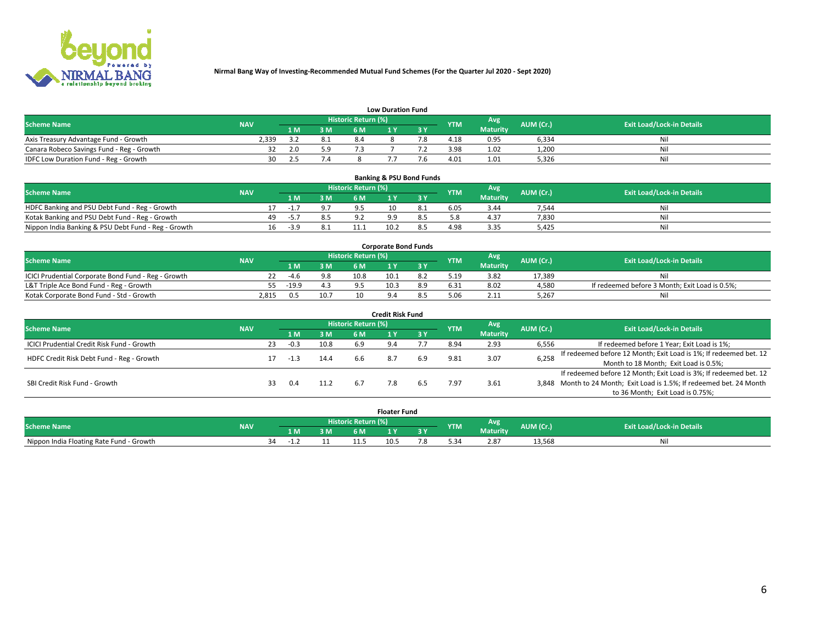

|                                           | <b>Low Duration Fund</b> |      |     |                     |  |     |            |                 |           |                                  |  |  |  |  |  |
|-------------------------------------------|--------------------------|------|-----|---------------------|--|-----|------------|-----------------|-----------|----------------------------------|--|--|--|--|--|
| <b>Scheme Name</b>                        | <b>NAV</b>               |      |     | Historic Return (%) |  |     | <b>YTM</b> | <b>Avg</b>      | AUM (Cr.) | <b>Exit Load/Lock-in Details</b> |  |  |  |  |  |
|                                           |                          | 1 M. | 3 M | 6 M                 |  | 2 V |            | <b>Maturity</b> |           |                                  |  |  |  |  |  |
| Axis Treasury Advantage Fund - Growth     | 2.339                    |      | 8.1 |                     |  |     | 4.18       | 0.95            | 6,334     | Nil                              |  |  |  |  |  |
| Canara Robeco Savings Fund - Reg - Growth |                          | 2.0  | 5.9 |                     |  |     | 3.98       | 1.02            | 1,200     | Nil                              |  |  |  |  |  |
| IDFC Low Duration Fund - Reg - Growth     | 30                       |      |     |                     |  |     | 4.01       | 1.01            | 5,326     | Nil                              |  |  |  |  |  |

| <b>Banking &amp; PSU Bond Funds</b>                 |            |    |                                                       |     |     |                                  |     |      |                 |       |    |  |  |  |
|-----------------------------------------------------|------------|----|-------------------------------------------------------|-----|-----|----------------------------------|-----|------|-----------------|-------|----|--|--|--|
| <b>Scheme Name</b>                                  | <b>NAV</b> |    | Historic Return (%)<br>Avg<br>AUM (Cr.)<br><b>YTM</b> |     |     | <b>Exit Load/Lock-in Details</b> |     |      |                 |       |    |  |  |  |
|                                                     |            |    | 1 M                                                   | 3 M | 6 M |                                  | 3 V |      | <b>Maturity</b> |       |    |  |  |  |
| HDFC Banking and PSU Debt Fund - Reg - Growth       |            |    | - 1.                                                  |     |     |                                  |     | 6.05 | 3.44            | 7,544 | Ni |  |  |  |
| Kotak Banking and PSU Debt Fund - Reg - Growth      |            | 49 | $-5.7$                                                | 8.5 |     |                                  |     |      | 4.37            | 7,830 | Ni |  |  |  |
| Nippon India Banking & PSU Debt Fund - Reg - Growth |            | 16 | $-3.9$                                                |     |     | 10.2                             |     | 4.98 | 3.35            | 5.425 | Ni |  |  |  |

| <b>Corporate Bond Funds</b>                         |            |         |      |                            |      |  |            |                 |           |                                                |  |  |  |  |
|-----------------------------------------------------|------------|---------|------|----------------------------|------|--|------------|-----------------|-----------|------------------------------------------------|--|--|--|--|
| <b>Scheme Name</b>                                  | <b>NAV</b> |         |      | <b>Historic Return (%)</b> |      |  | <b>YTM</b> | Avg             | AUM (Cr.) | <b>Exit Load/Lock-in Details</b>               |  |  |  |  |
|                                                     |            |         | 3 M  | 6 M.                       |      |  |            | <b>Maturity</b> |           |                                                |  |  |  |  |
| ICICI Prudential Corporate Bond Fund - Reg - Growth |            | -4.6    | 9.8  | 10.8                       | 10.1 |  | 5.19       | 3.82            | 17.389    | Nil                                            |  |  |  |  |
| L&T Triple Ace Bond Fund - Reg - Growth             |            | $-19.9$ |      |                            | 10.3 |  | 6.31       | 8.02            | 4,580     | If redeemed before 3 Month; Exit Load is 0.5%; |  |  |  |  |
| Kotak Corporate Bond Fund - Std - Growth            | 2,815      | 0.5     | 10.7 | 10                         |      |  |            | 2.11            | 5.267     | Nil                                            |  |  |  |  |

| <b>Credit Risk Fund</b>                    |            |    |        |      |                     |     |     |            |                 |           |                                                                       |  |  |  |
|--------------------------------------------|------------|----|--------|------|---------------------|-----|-----|------------|-----------------|-----------|-----------------------------------------------------------------------|--|--|--|
| <b>Scheme Name</b>                         | <b>NAV</b> |    |        |      | Historic Return (%) |     |     | <b>YTM</b> | Avg             | AUM (Cr.) | <b>Exit Load/Lock-in Details</b>                                      |  |  |  |
|                                            |            |    | 1 M    | 3 M  | 6 M                 |     | 3 Y |            | <b>Maturity</b> |           |                                                                       |  |  |  |
| ICICI Prudential Credit Risk Fund - Growth |            | 23 | $-0.3$ | 10.8 | 6.9                 |     |     | 8.94       | 2.93            | 6,556     | If redeemed before 1 Year; Exit Load is 1%;                           |  |  |  |
| HDFC Credit Risk Debt Fund - Reg - Growth  |            |    |        | 14.4 | 6.6                 |     | 6.9 | 9.81       | 3.07            | 6,258     | If redeemed before 12 Month; Exit Load is 1%; If redeemed bet. 12     |  |  |  |
|                                            |            |    | -1.3   |      |                     |     |     |            |                 |           | Month to 18 Month; Exit Load is 0.5%;                                 |  |  |  |
|                                            |            |    |        |      |                     |     |     |            |                 |           | If redeemed before 12 Month; Exit Load is 3%; If redeemed bet. 12     |  |  |  |
| SBI Credit Risk Fund - Growth              |            | 33 | 0.4    |      | 6.7                 | 7.8 |     | 7.97       | 3.61            |           | 3,848 Month to 24 Month; Exit Load is 1.5%; If redeemed bet. 24 Month |  |  |  |
|                                            |            |    |        |      |                     |     |     |            |                 |           | to 36 Month; Exit Load is 0.75%;                                      |  |  |  |

| <b>Floater Fund</b>                      |            |     |    |                     |  |      |   |            |                 |           |                                  |
|------------------------------------------|------------|-----|----|---------------------|--|------|---|------------|-----------------|-----------|----------------------------------|
| <b>Scheme Name</b>                       | <b>NAV</b> |     |    | Historic Return (%) |  |      |   | <b>YTM</b> | Avg             | AUM (Cr.) | <b>Exit Load/Lock-in Details</b> |
|                                          |            | 1 M | ЗM | 6 M                 |  | .    | . |            | <b>Maturity</b> |           |                                  |
| Nippon India Floating Rate Fund - Growth |            | ٦Δ  |    |                     |  | 10.5 |   |            | 2.87            | 13,568    | NL                               |